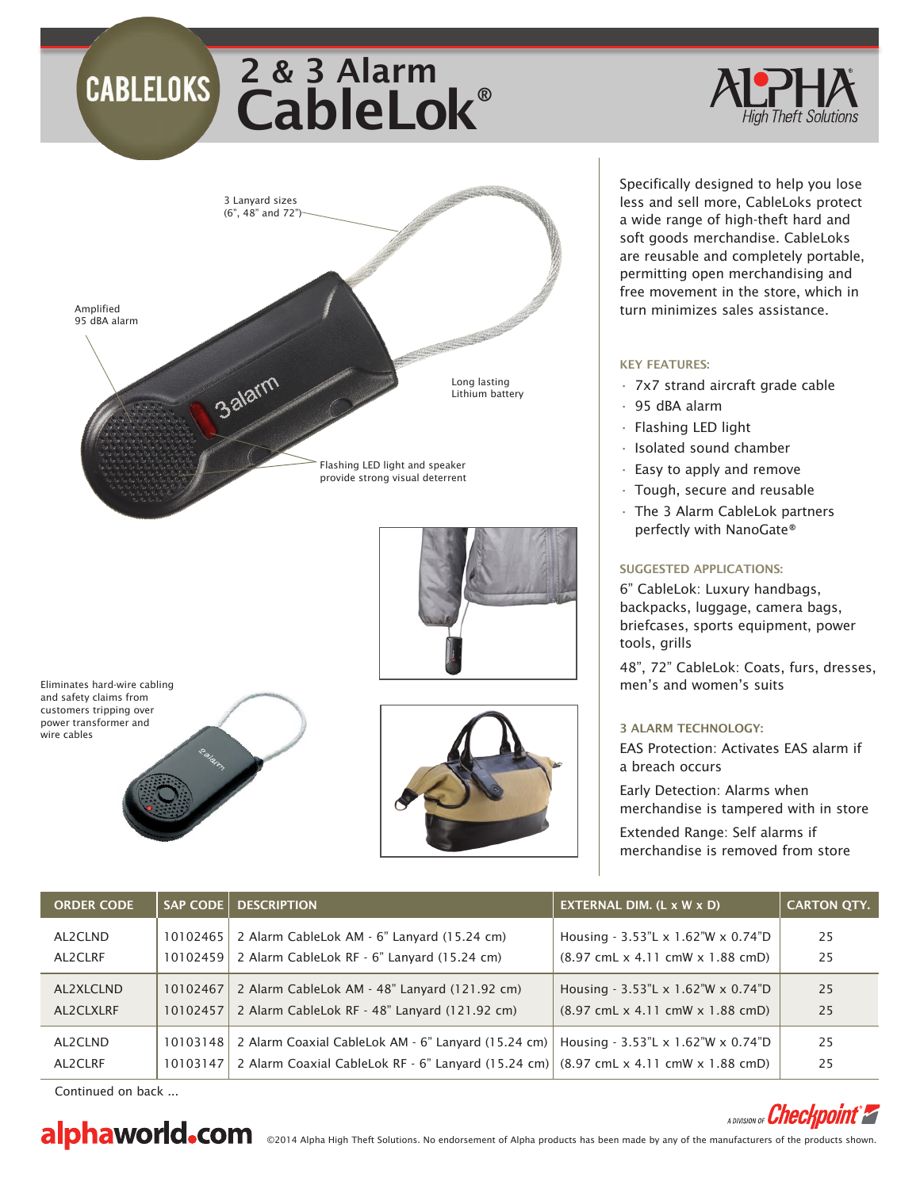# CableLok® 2 & 3 Alarm



Eliminates hard-wire cabling and safety claims from customers tripping over power transformer and wire cables



are reusable and completely portable, permitting open merchandising and free movement in the store, which in turn minimizes sales assistance.

Specifically designed to help you lose less and sell more, CableLoks protect a wide range of high-theft hard and soft goods merchandise. CableLoks

### KEY FEATURES:

- $\cdot$  7x7 strand aircraft grade cable
- • 95 dBA alarm
- $\cdot$  Flashing LED light
- • Isolated sound chamber
- $\cdot$  Easy to apply and remove
- $\cdot$  Tough, secure and reusable
- • The 3 Alarm CableLok partners perfectly with NanoGate®

## SUGGESTED APPLICATIONS:

6" CableLok: Luxury handbags, backpacks, luggage, camera bags, briefcases, sports equipment, power tools, grills

48", 72" CableLok: Coats, furs, dresses, men's and women's suits

### 3 ALARM TECHNOLOGY:

EAS Protection: Activates EAS alarm if a breach occurs

Early Detection: Alarms when merchandise is tampered with in store

Extended Range: Self alarms if merchandise is removed from store

| <b>ORDER CODE</b> |          | <b>SAP CODE   DESCRIPTION</b>                                                                                                  | EXTERNAL DIM. $(L \times W \times D)$                                | <b>CARTON QTY.</b> |
|-------------------|----------|--------------------------------------------------------------------------------------------------------------------------------|----------------------------------------------------------------------|--------------------|
| AL2CLND           | 10102465 | 2 Alarm CableLok AM - 6" Lanyard (15.24 cm)                                                                                    | Housing - 3.53"L x 1.62"W x 0.74"D                                   | 25                 |
| AL2CLRF           | 10102459 | 2 Alarm CableLok RF - 6" Lanyard (15.24 cm)                                                                                    | $(8.97 \text{ cmL} \times 4.11 \text{ cmW} \times 1.88 \text{ cmD})$ | 25                 |
| AL2XLCLND         | 10102467 | 2 Alarm CableLok AM - 48" Lanyard (121.92 cm)                                                                                  | Housing - 3.53"L x 1.62"W x 0.74"D                                   | 25                 |
| AL2CLXLRF         | 10102457 | 2 Alarm CableLok RF - 48" Lanyard (121.92 cm)                                                                                  | $(8.97 \text{ cmL} \times 4.11 \text{ cmW} \times 1.88 \text{ cmD})$ | 25                 |
| AL2CLND           | 10103148 | 2 Alarm Coaxial CableLok AM - 6" Lanyard (15.24 cm)                                                                            | Housing - 3.53"L x 1.62"W x 0.74"D                                   | 25                 |
| AL2CLRF           | 10103147 | 2 Alarm Coaxial CableLok RF $\cdot$ 6" Lanyard (15.24 cm) $(8.97 \text{ cmL} \times 4.11 \text{ cmW} \times 1.88 \text{ cmD})$ |                                                                      | 25                 |

Continued on back ...



# A DIVISION OF **Checkpoint<sup>®</sup>**

alphaworld.com sales the fight Theft Solutions. No endorsement of Alpha products has been made by any of the manufacturers of the products shown.